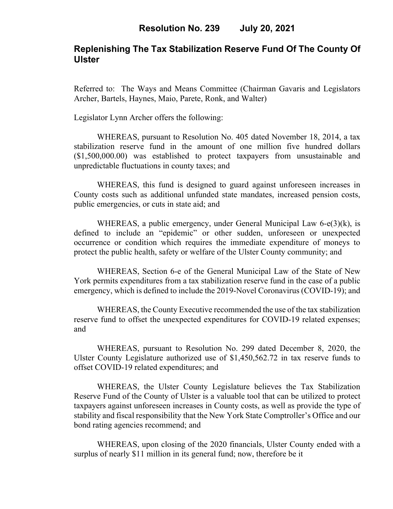### **Replenishing The Tax Stabilization Reserve Fund Of The County Of Ulster**

Referred to: The Ways and Means Committee (Chairman Gavaris and Legislators Archer, Bartels, Haynes, Maio, Parete, Ronk, and Walter)

Legislator Lynn Archer offers the following:

WHEREAS, pursuant to Resolution No. 405 dated November 18, 2014, a tax stabilization reserve fund in the amount of one million five hundred dollars (\$1,500,000.00) was established to protect taxpayers from unsustainable and unpredictable fluctuations in county taxes; and

WHEREAS, this fund is designed to guard against unforeseen increases in County costs such as additional unfunded state mandates, increased pension costs, public emergencies, or cuts in state aid; and

WHEREAS, a public emergency, under General Municipal Law 6-e(3)(k), is defined to include an "epidemic" or other sudden, unforeseen or unexpected occurrence or condition which requires the immediate expenditure of moneys to protect the public health, safety or welfare of the Ulster County community; and

WHEREAS, Section 6-e of the General Municipal Law of the State of New York permits expenditures from a tax stabilization reserve fund in the case of a public emergency, which is defined to include the 2019-Novel Coronavirus (COVID-19); and

WHEREAS, the County Executive recommended the use of the tax stabilization reserve fund to offset the unexpected expenditures for COVID-19 related expenses; and

WHEREAS, pursuant to Resolution No. 299 dated December 8, 2020, the Ulster County Legislature authorized use of \$1,450,562.72 in tax reserve funds to offset COVID-19 related expenditures; and

WHEREAS, the Ulster County Legislature believes the Tax Stabilization Reserve Fund of the County of Ulster is a valuable tool that can be utilized to protect taxpayers against unforeseen increases in County costs, as well as provide the type of stability and fiscal responsibility that the New York State Comptroller's Office and our bond rating agencies recommend; and

WHEREAS, upon closing of the 2020 financials, Ulster County ended with a surplus of nearly \$11 million in its general fund; now, therefore be it